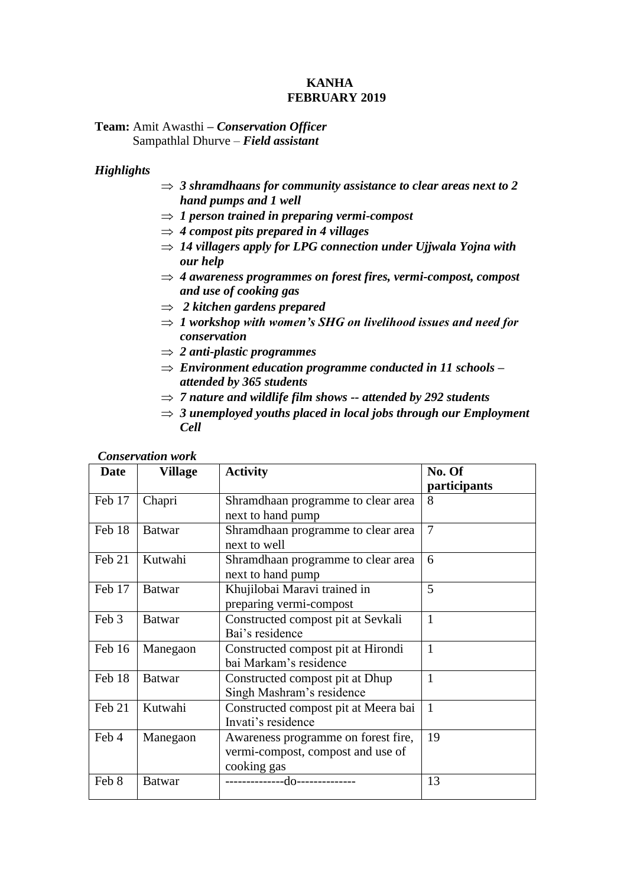## **KANHA FEBRUARY 2019**

# **Team:** Amit Awasthi **–** *Conservation Officer* Sampathlal Dhurve – *Field assistant*

# *Highlights*

- *3 shramdhaans for community assistance to clear areas next to 2 hand pumps and 1 well*
- $\Rightarrow$  1 person trained in preparing vermi-compost
- $\Rightarrow$  4 *compost pits prepared in 4 villages*
- $\Rightarrow$  14 villagers apply for LPG connection under Ujjwala Yojna with *our help*
- *4 awareness programmes on forest fires, vermi-compost, compost and use of cooking gas*
- *2 kitchen gardens prepared*
- $\Rightarrow$  1 workshop with women's SHG on livelihood issues and need for *conservation*
- *2 anti-plastic programmes*
- *Environment education programme conducted in 11 schools – attended by 365 students*
- *7 nature and wildlife film shows -- attended by 292 students*
- $\Rightarrow$  3 unemployed youths placed in local jobs through our Employment *Cell*

| <b>Date</b> | Village       | <b>Activity</b>                                                                         | No. Of<br>participants |  |  |  |
|-------------|---------------|-----------------------------------------------------------------------------------------|------------------------|--|--|--|
| Feb 17      | Chapri        | Shramdhaan programme to clear area<br>next to hand pump                                 | 8                      |  |  |  |
| Feb 18      | <b>Batwar</b> | Shramdhaan programme to clear area<br>next to well                                      | $\overline{7}$         |  |  |  |
| Feb 21      | Kutwahi       | Shramdhaan programme to clear area<br>next to hand pump                                 | 6                      |  |  |  |
| Feb 17      | <b>Batwar</b> | Khujilobai Maravi trained in<br>preparing vermi-compost                                 | 5                      |  |  |  |
| Feb 3       | <b>Batwar</b> | Constructed compost pit at Sevkali<br>Bai's residence                                   | $\mathbf{1}$           |  |  |  |
| Feb 16      | Manegaon      | Constructed compost pit at Hirondi<br>bai Markam's residence                            | $\mathbf{1}$           |  |  |  |
| Feb 18      | <b>Batwar</b> | Constructed compost pit at Dhup<br>Singh Mashram's residence                            | 1                      |  |  |  |
| Feb 21      | Kutwahi       | Constructed compost pit at Meera bai<br>Invati's residence                              | $\mathbf{1}$           |  |  |  |
| Feb 4       | Manegaon      | Awareness programme on forest fire,<br>vermi-compost, compost and use of<br>cooking gas | 19                     |  |  |  |
| Feb 8       | <b>Batwar</b> | -do--------------                                                                       | 13                     |  |  |  |

### *Conservation work*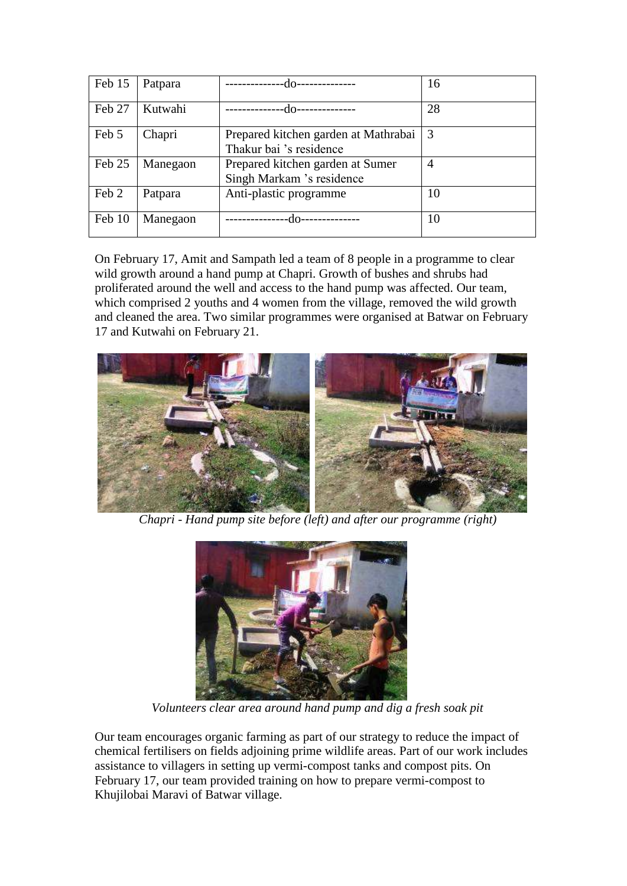| Feb 15 | Patpara  | -do-                                                            | 16             |
|--------|----------|-----------------------------------------------------------------|----------------|
| Feb 27 | Kutwahi  | -do-                                                            | 28             |
| Feb 5  | Chapri   | Prepared kitchen garden at Mathrabai<br>Thakur bai 's residence | 3              |
| Feb 25 | Manegaon | Prepared kitchen garden at Sumer<br>Singh Markam 's residence   | $\overline{A}$ |
| Feb 2  | Patpara  | Anti-plastic programme                                          | 10             |
| Feb 10 | Manegaon |                                                                 | 10             |

On February 17, Amit and Sampath led a team of 8 people in a programme to clear wild growth around a hand pump at Chapri. Growth of bushes and shrubs had proliferated around the well and access to the hand pump was affected. Our team, which comprised 2 youths and 4 women from the village, removed the wild growth and cleaned the area. Two similar programmes were organised at Batwar on February 17 and Kutwahi on February 21.



 *Chapri - Hand pump site before (left) and after our programme (right)*



 *Volunteers clear area around hand pump and dig a fresh soak pit*

Our team encourages organic farming as part of our strategy to reduce the impact of chemical fertilisers on fields adjoining prime wildlife areas. Part of our work includes assistance to villagers in setting up vermi-compost tanks and compost pits. On February 17, our team provided training on how to prepare vermi-compost to Khujilobai Maravi of Batwar village.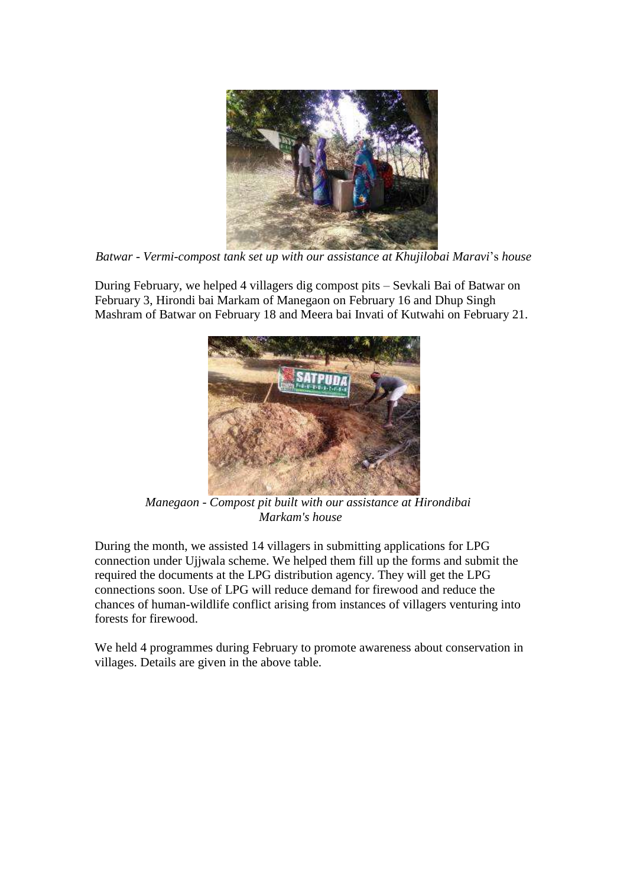

*Batwar - Vermi-compost tank set up with our assistance at Khujilobai Maravi*'s *house*

During February, we helped 4 villagers dig compost pits – Sevkali Bai of Batwar on February 3, Hirondi bai Markam of Manegaon on February 16 and Dhup Singh Mashram of Batwar on February 18 and Meera bai Invati of Kutwahi on February 21.



 *Manegaon - Compost pit built with our assistance at Hirondibai Markam's house*

During the month, we assisted 14 villagers in submitting applications for LPG connection under Ujjwala scheme. We helped them fill up the forms and submit the required the documents at the LPG distribution agency. They will get the LPG connections soon. Use of LPG will reduce demand for firewood and reduce the chances of human-wildlife conflict arising from instances of villagers venturing into forests for firewood.

We held 4 programmes during February to promote awareness about conservation in villages. Details are given in the above table.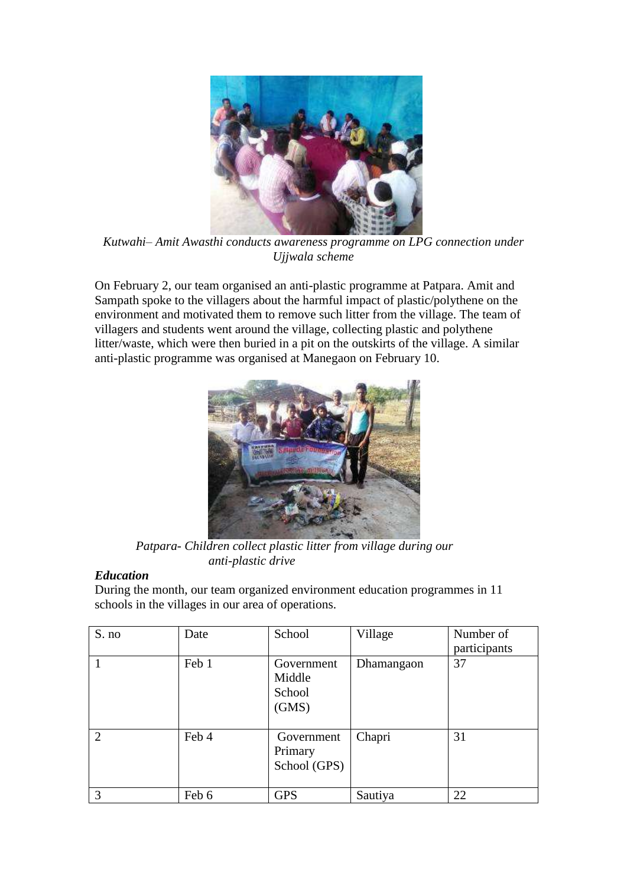

*Kutwahi– Amit Awasthi conducts awareness programme on LPG connection under Ujjwala scheme*

On February 2, our team organised an anti-plastic programme at Patpara. Amit and Sampath spoke to the villagers about the harmful impact of plastic/polythene on the environment and motivated them to remove such litter from the village. The team of villagers and students went around the village, collecting plastic and polythene litter/waste, which were then buried in a pit on the outskirts of the village. A similar anti-plastic programme was organised at Manegaon on February 10.



 *Patpara- Children collect plastic litter from village during our anti-plastic drive*

# *Education*

During the month, our team organized environment education programmes in 11 schools in the villages in our area of operations.

| S. no          | Date  | School                                  | Village    | Number of<br>participants |
|----------------|-------|-----------------------------------------|------------|---------------------------|
|                | Feb 1 | Government<br>Middle<br>School<br>(GMS) | Dhamangaon | 37                        |
| $\overline{2}$ | Feb 4 | Government<br>Primary<br>School (GPS)   | Chapri     | 31                        |
| 3              | Feb 6 | <b>GPS</b>                              | Sautiya    | 22                        |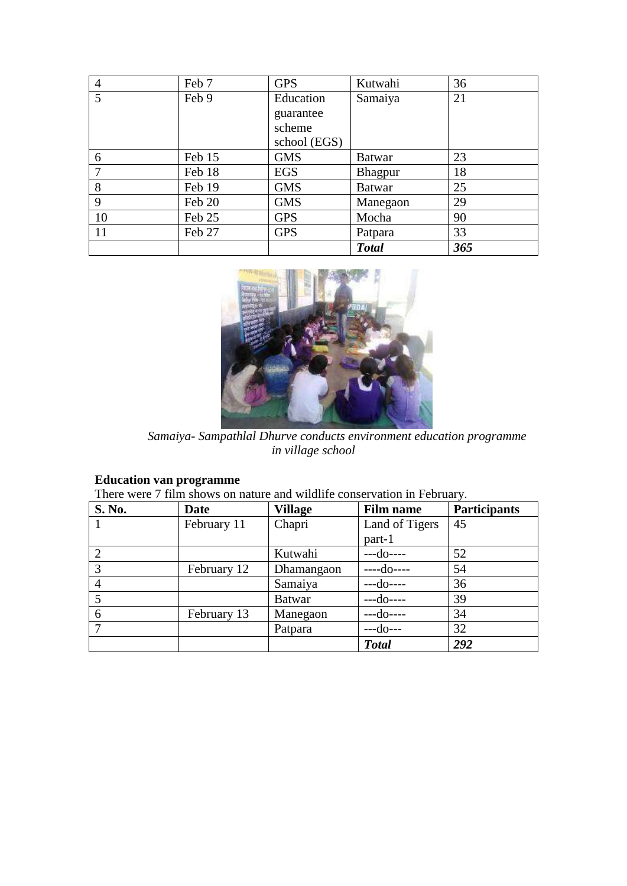| 4  | Feb 7  | <b>GPS</b>   | Kutwahi       | 36  |
|----|--------|--------------|---------------|-----|
| 5  | Feb 9  | Education    | Samaiya       | 21  |
|    |        | guarantee    |               |     |
|    |        | scheme       |               |     |
|    |        | school (EGS) |               |     |
| 6  | Feb 15 | <b>GMS</b>   | <b>Batwar</b> | 23  |
|    | Feb 18 | <b>EGS</b>   | Bhagpur       | 18  |
| 8  | Feb 19 | <b>GMS</b>   | <b>Batwar</b> | 25  |
| 9  | Feb 20 | <b>GMS</b>   | Manegaon      | 29  |
| 10 | Feb 25 | <b>GPS</b>   | Mocha         | 90  |
| 11 | Feb 27 | <b>GPS</b>   | Patpara       | 33  |
|    |        |              | <b>Total</b>  | 365 |



 *Samaiya- Sampathlal Dhurve conducts environment education programme in village school*

#### **Education van programme**

There were 7 film shows on nature and wildlife conservation in February.

| S. No.         | <b>Date</b> | <b>Village</b> | <b>Film name</b> | <b>Participants</b> |
|----------------|-------------|----------------|------------------|---------------------|
|                | February 11 | Chapri         | Land of Tigers   | 45                  |
|                |             |                | part-1           |                     |
|                |             | Kutwahi        | $- -d$ o $---$   | 52                  |
|                | February 12 | Dhamangaon     | $---do---$       | 54                  |
| $\overline{4}$ |             | Samaiya        | $--do---$        | 36                  |
|                |             | <b>Batwar</b>  | $--do---$        | 39                  |
| 6              | February 13 | Manegaon       | $--do---$        | 34                  |
|                |             | Patpara        | $-$ -do---       | 32                  |
|                |             |                | <b>Total</b>     | 292                 |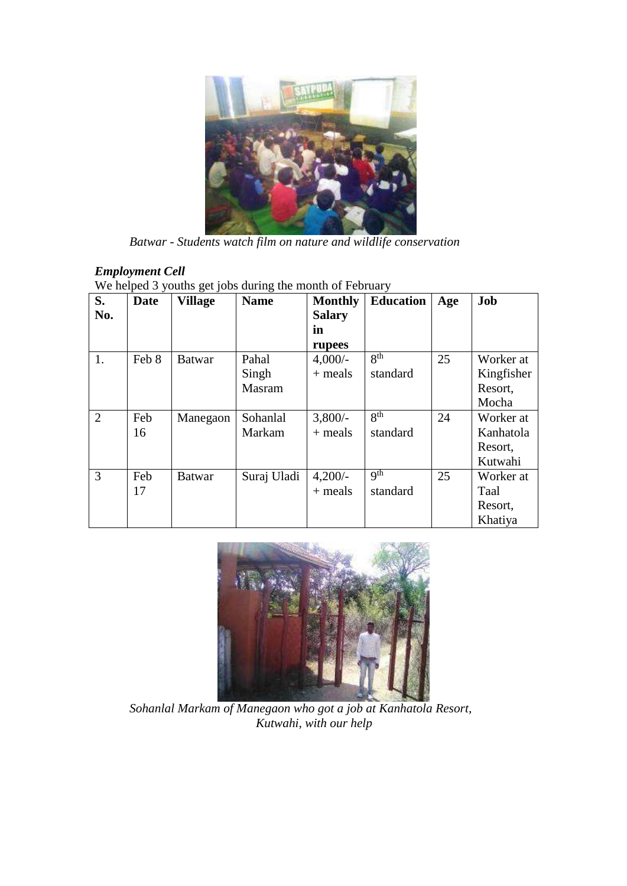

 *Batwar - Students watch film on nature and wildlife conservation*

# *Employment Cell*

We helped 3 youths get jobs during the month of February

| S.             | Date  | <b>Village</b> | <b>Name</b> | <b>Monthly</b> | <b>Education</b> | Age | Job        |
|----------------|-------|----------------|-------------|----------------|------------------|-----|------------|
| No.            |       |                |             | <b>Salary</b>  |                  |     |            |
|                |       |                |             | in             |                  |     |            |
|                |       |                |             | rupees         |                  |     |            |
| 1.             | Feb 8 | <b>Batwar</b>  | Pahal       | $4,000/-$      | 8 <sup>th</sup>  | 25  | Worker at  |
|                |       |                | Singh       | $+$ meals      | standard         |     | Kingfisher |
|                |       |                | Masram      |                |                  |     | Resort,    |
|                |       |                |             |                |                  |     | Mocha      |
| $\overline{2}$ | Feb   | Manegaon       | Sohanlal    | 3,800/         | $R^{th}$         | 24  | Worker at  |
|                | 16    |                | Markam      | $+$ meals      | standard         |     | Kanhatola  |
|                |       |                |             |                |                  |     | Resort,    |
|                |       |                |             |                |                  |     | Kutwahi    |
| $\overline{3}$ | Feb   | <b>Batwar</b>  | Suraj Uladi | $4,200/-$      | q <sup>th</sup>  | 25  | Worker at  |
|                | 17    |                |             | $+$ meals      | standard         |     | Taal       |
|                |       |                |             |                |                  |     | Resort,    |
|                |       |                |             |                |                  |     | Khatiya    |



 *Sohanlal Markam of Manegaon who got a job at Kanhatola Resort, Kutwahi, with our help*